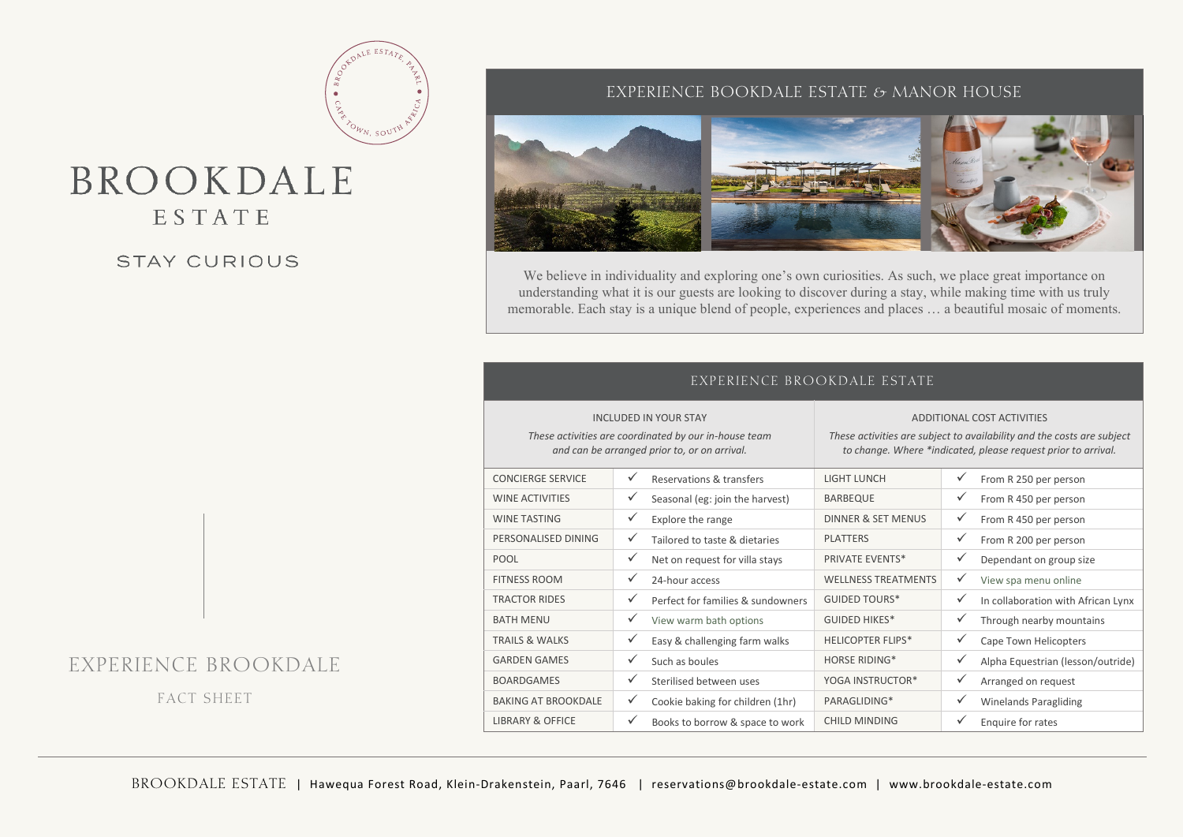## BROOKDALE ESTATE

#### STAY CURIOUS

#### EXPERIENCE BOOKDALE ESTATE & MANOR HOUSE



We believe in individuality and exploring one's own curiosities. As such, we place great importance on understanding what it is our guests are looking to discover during a stay, while making time with us truly memorable. Each stay is a unique blend of people, experiences and places … a beautiful mosaic of moments.

| EXPERIENCE BROOKDALE ESTATE                                                                                                           |                                                   |                                                                                                                                                                       |                                         |  |  |  |  |  |
|---------------------------------------------------------------------------------------------------------------------------------------|---------------------------------------------------|-----------------------------------------------------------------------------------------------------------------------------------------------------------------------|-----------------------------------------|--|--|--|--|--|
| <b>INCLUDED IN YOUR STAY</b><br>These activities are coordinated by our in-house team<br>and can be arranged prior to, or on arrival. |                                                   | ADDITIONAL COST ACTIVITIES<br>These activities are subject to availability and the costs are subject<br>to change. Where *indicated, please request prior to arrival. |                                         |  |  |  |  |  |
| <b>CONCIERGE SERVICE</b>                                                                                                              | ✓<br>Reservations & transfers                     | <b>LIGHT LUNCH</b>                                                                                                                                                    | ✓<br>From R 250 per person              |  |  |  |  |  |
| <b>WINE ACTIVITIES</b>                                                                                                                | ✓<br>Seasonal (eg: join the harvest)              | <b>BARBEQUE</b>                                                                                                                                                       | ✓<br>From R 450 per person              |  |  |  |  |  |
| <b>WINE TASTING</b>                                                                                                                   | $\checkmark$<br>Explore the range                 | DINNER & SET MENUS                                                                                                                                                    | $\checkmark$<br>From R 450 per person   |  |  |  |  |  |
| PERSONALISED DINING                                                                                                                   | $\checkmark$<br>Tailored to taste & dietaries     | <b>PLATTERS</b>                                                                                                                                                       | $\checkmark$<br>From R 200 per person   |  |  |  |  |  |
| <b>POOL</b>                                                                                                                           | ✓<br>Net on request for villa stays               | <b>PRIVATE EVENTS*</b>                                                                                                                                                | ✓<br>Dependant on group size            |  |  |  |  |  |
| <b>FITNESS ROOM</b>                                                                                                                   | $\checkmark$<br>24-hour access                    | <b>WELLNESS TREATMENTS</b>                                                                                                                                            | ✓<br>View spa menu online               |  |  |  |  |  |
| <b>TRACTOR RIDES</b>                                                                                                                  | $\checkmark$<br>Perfect for families & sundowners | <b>GUIDED TOURS*</b>                                                                                                                                                  | ✓<br>In collaboration with African Lynx |  |  |  |  |  |
| <b>BATH MENU</b>                                                                                                                      | $\checkmark$<br>View warm bath options            | <b>GUIDED HIKES*</b>                                                                                                                                                  | ✓<br>Through nearby mountains           |  |  |  |  |  |
| <b>TRAILS &amp; WALKS</b>                                                                                                             | ✓<br>Easy & challenging farm walks                | <b>HELICOPTER FLIPS*</b>                                                                                                                                              | ✓<br>Cape Town Helicopters              |  |  |  |  |  |
| <b>GARDEN GAMES</b>                                                                                                                   | $\checkmark$<br>Such as boules                    | <b>HORSE RIDING*</b>                                                                                                                                                  | ✓<br>Alpha Equestrian (lesson/outride)  |  |  |  |  |  |
| <b>BOARDGAMES</b>                                                                                                                     | $\checkmark$<br>Sterilised between uses           | YOGA INSTRUCTOR*                                                                                                                                                      | ✓<br>Arranged on request                |  |  |  |  |  |
| <b>BAKING AT BROOKDALE</b>                                                                                                            | $\checkmark$<br>Cookie baking for children (1hr)  | PARAGLIDING*                                                                                                                                                          | ✓<br><b>Winelands Paragliding</b>       |  |  |  |  |  |
| <b>LIBRARY &amp; OFFICE</b>                                                                                                           | $\checkmark$<br>Books to borrow & space to work   | <b>CHILD MINDING</b>                                                                                                                                                  | ✓<br>Enquire for rates                  |  |  |  |  |  |

## EXPERIENCE BROOKDALE

FACT SHEET